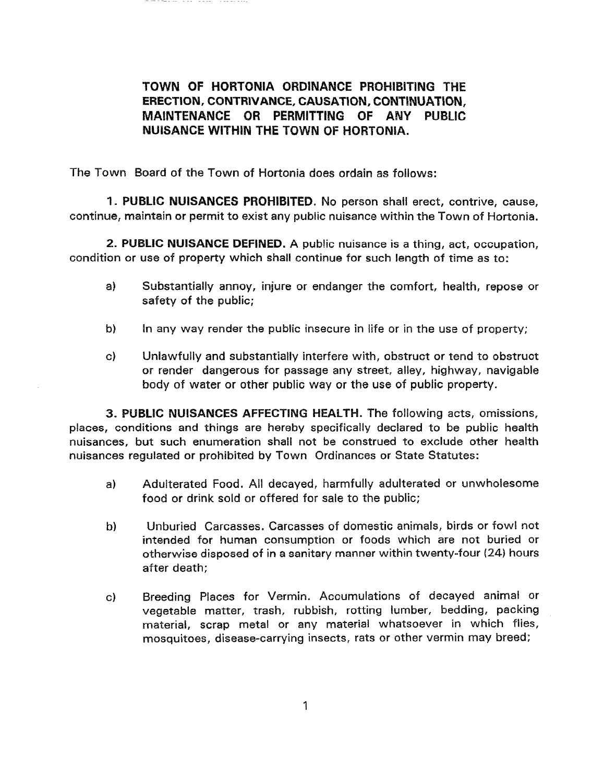## TOWN OF HORTONIA ORDINANCE PROHIBITING THE ERECTION, CONTRIVANCE, CAUSATION, CONTINUATION. MAINTENANCE OR PERMITTING OF ANY PUBLIC NUISANCE WITHIN THE TOWN OF HORTONIA.

The Town Board of the Town of Hortonia does ordain as follows:

1. PUBLIC NUISANCES PROHIBITED. No person shall erect, contrive, cause, continue, maintain or permit to exist any public nuisance within the Town of Hortonia.

2. PUBLIC NUISANCE DEFINED. A public nuisance is a thing, act, occupation, condition or use of property which shall continue for such length of time as to:

- a) Substantially annoy, injure or endanger the comfort, health, repose or safety of the public;
- b) In any way render the public insecure in life or in the use of property;
- c) Unlawfully and substantially interfere with, obstruct or tend to obstruct or render dangerous for passage any street, alley, highway, navigable body of water or other public way or the use of public property.

3. PUBLIC NUISANCES AFFECTING HEALTH. The following acts, omissions, places, conditions and things are hereby specifically declared to be public health nuisances, but such enumeration shall not be construed to exclude other health nuisances regulated or prohibited by Town Ordinances or State Statutes:

- a) Adulterated Food. All decayed, harmfully adulterated or unwholesome food or drink sold or offered for sale to the public;
- b) Unburied Carcasses. Carcasses of domestic animals, birds or fowl not intended for human consumption or foods which are not buried or otherwise disposed of in a sanitary manner within twenty-four (24) hours after death;
- c) Breeding Places for Vermin. Accumulations of decayed animal or vegetable matter, trash, rubbish, rotting lumber, bedding, packing material, scrap metal or any material whatsoever in which flies, mosquitoes, disease-carrying insects, rats or other vermin may breed;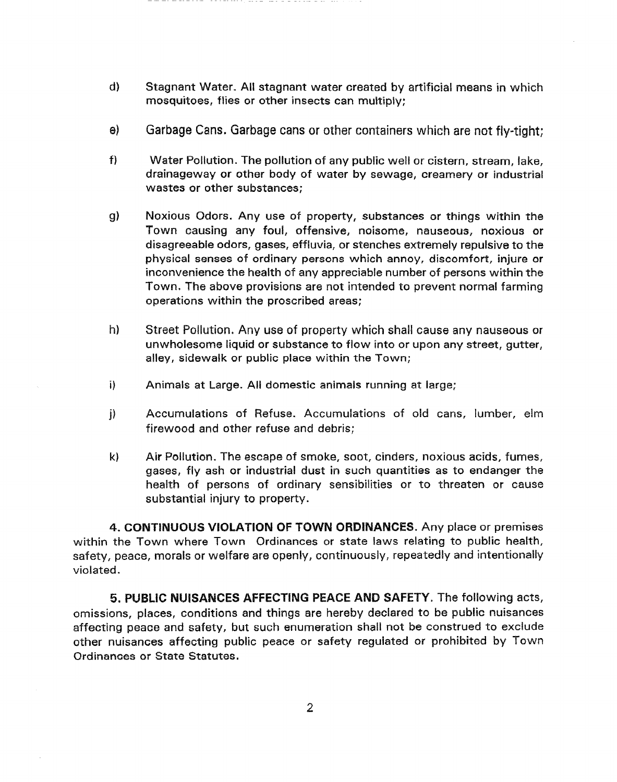- d) Stagnant Water. All stagnant water created by artificial means in which mosquitoes, flies or other insects can multiply;
- e) Garbage Cans. Garbage cans or other containers which are not fly-tight;
- f) Water Pollution. The pollution of any public well or cistern, stream, lake, drainageway or other body of water by sewage, creamery or industrial wastes or other substances;
- g) Noxious Odors. Any use of property, substances or things within the Town causing any foul, offensive, noisome, nauseous, noxious or disagreeable odors, gases, effluvia, or stenches extremely repulsive to the physical senses of ordinary persons which annoy, discomfort, injure or inconvenience the health of any appreciable number of persons within the Town. The above provisions are not intended to prevent normal farming operations within the proscribed areas;
- h) Street Pollution. Any use of property which shall cause any nauseous or unwholesome liquid or substance to flow into or upon any street, gutter, alley, sidewalk or public place within the Town;
- i) Animals at Large. All domestic animals running at large;
- j) Accumulations of Refuse. Accumulations of old cans, lumber, elm firewood and other refuse and debris;
- k) Air Pollution. The escape of smoke, soot, cinders, noxious acids, fumes, gases, fly ash or industrial dust in such quantities as to endanger the health of persons of ordinary sensibilities or to threaten or cause substantial injury to property.

4. CONTINUOUS VIOLATION OFTOWN ORDINANCES.Any place or premises within the Town where Town Ordinances or state laws relating to public health, safety, peace, morals or welfare are openly, continuously, repeatedly and intentionally violated.

5. PUBLIC NUISANCES AFFECTING PEACE AND SAFETY. The following acts, omissions, places, conditions and things are hereby declared to be public nuisances affecting peace and safety, but such enumeration shall not be construed to exclude other nuisances affecting public peace or safety regulated or prohibited by Town Ordinances or State Statutes.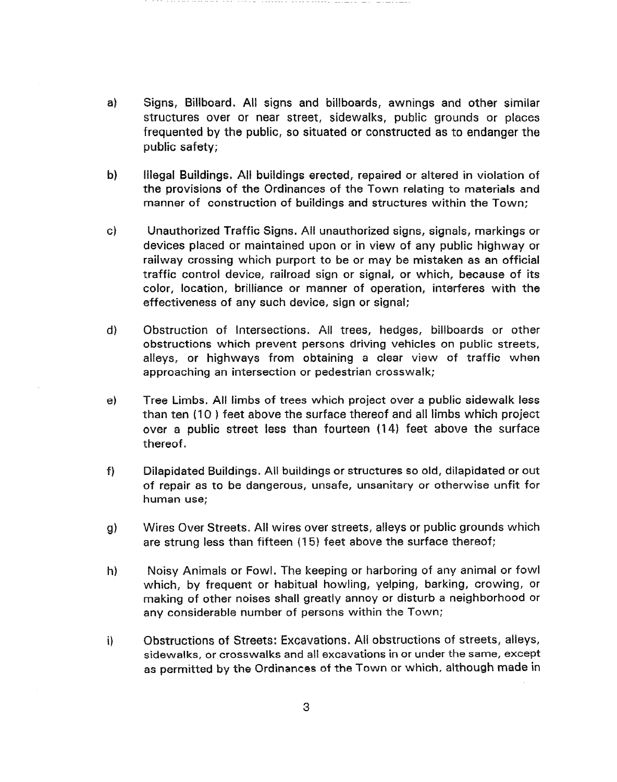- a) Signs, Billboard. All signs and billboards, awnings and other similar structures over or near street, sidewalks, public grounds or places frequented by the public, so situated or constructed as to endanger the public safety;
- b) Illegal Buildings. All buildings erected, repaired or altered in violation of the provisions of the Ordinances of the Town relating to materials and manner of construction of buildings and structures within the Town;
- c) Unauthorized Traffic Signs. All unauthorized signs, signals, markings or devices placed or maintained upon or in view of any public highway or railway crossing which purport to be or may be mistaken as an official traffic control device, railroad sign or signal, or which, because of its color, location, brilliance or manner of operation, interferes with the effectiveness of any such device, sign or signal;
- d) Obstruction of Intersections. All trees, hedges, billboards or other obstructions which prevent persons driving vehicles on public streets, alleys, or highways from obtaining a clear view of traffic when approaching an intersection or pedestrian crosswalk;
- e) Tree Limbs. All limbs of trees which project over a public sidewalk less than ten (10 ) feet above the surface thereof and all limbs which project over a public street less than fourteen (14) feet above the surface thereof.
- f) Dilapidated Buildings. All buildings or structures so old, dilapidated or out of repair as to be dangerous, unsafe, unsanitary or otherwise unfit for human use;
- g) Wires Over Streets. All wires over streets, alleys or public grounds which are strung less than fifteen (15) feet above the surface thereof;
- h) Noisy Animals or Fowl. The keeping or harboring of any animal or fowl which, by frequent or habitual howling, yelping, barking, crowing, or making of other noises shall greatly annoy or disturb a neighborhood or any considerable number of persons within the Town;
- i) Obstructions of Streets: Excavations. All obstructions of streets, alleys, sidewalks, or crosswalks and all excavations in or under the same, except as permitted by the Ordinances of the Town or which, although made in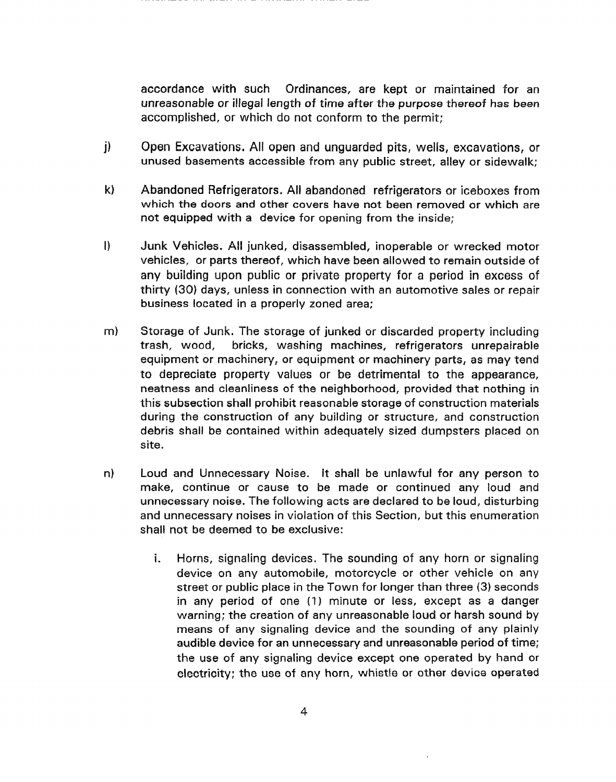accordance with such Ordinances, are kept or maintained for an unreasonable **or** illegal length of time after the purpose thereof has been accomplished, or which do not conform to the permit;

- j) Open Excavations. All open and unguarded pits, wells, excavations, or unused basements accessible from any public street, alley or sidewalk;
- k) Abandoned Refrigerators. All abandoned refrigerators or iceboxes from which the doors and other covers have not been removed or which are not equipped with a device for opening from the inside;
- I} Junk Vehicles. All junked, disassembled, inoperable or wrecked motor vehicles, or parts thereof, which have been allowed to remain outside of any building upon public or private property for a period in excess of thirty (30) days, unless in connection with an automotive sales or repair business located in a properly zoned area;
- m) Storage of Junk. The storage of junked or discarded property including trash, wood, bricks, washing machines, refrigerators unrepairable equipment or machinery, or equipment or machinery parts, as may tend to depreciate property values or be detrimental to the appearance, neatness and cleanliness of the neighborhood, provided that nothing in this subsection shall prohibit reasonable storage of construction materials during the construction of any building or structure, and construction debris shall be contained within adequately sized dumpsters placed on site.
- n) Loud and Unnecessary Noise. It shall be unlawful for any person to make, continue or cause to be made or continued any loud and unnecessary noise. The following acts are declared to be loud, disturbing and unnecessary noises in violation of this Section, but this enumeration shall not be deemed to be exclusive:
	- i. Horns, signaling devices. The sounding of any horn or signaling device on any automobile, motorcycle or other vehicle on any street or public place in the Town for longer than three (3) seconds in any period of one (1) minute or less, except as a danger warning; the creation of any unreasonable loud or harsh sound by means of any signaling device and the sounding of any plainly audible device for an unnecessary and unreasonable period of time; the use of any signaling device except one operated by hand or electricity; the use of any horn, whistle or other device operated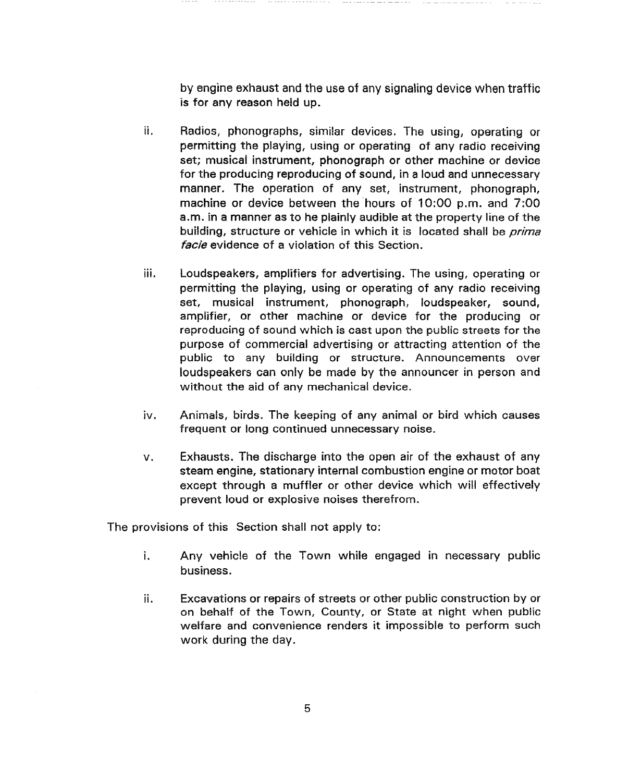by engine exhaust and the use of any signaling device when traffic is for any reason held up.

- ii. Radios, phonographs, similar devices. The using, operating or permitting the playing, using or operating of any radio receiving set; musical instrument, phonograph or other machine or device for the producing reproducing of sound, in a loud and unnecessary manner. The operation of any set, instrument, phonograph, machine or device between the hours of 10:00 p.m. and 7:00 a.m. in a manner as to he plainly audible at the property line of the building, structure or vehicle in which it is located shall be *prima* facie evidence of a violation of this Section.
- iii. Loudspeakers, amplifiers for advertising. The using, operating or permitting the playing, using or operating of any radio receiving set, musical instrument, phonograph, loudspeaker, sound, amplifier, or other machine or device for the producing or reproducing of sound which is cast upon the public streets for the purpose of commercial advertising or attracting attention of the public to any building or structure. Announcements over loudspeakers can only be made by the announcer in person and without the aid of any mechanical device.
- iv. Animals, birds. The keeping of any animal or bird which causes frequent or long continued unnecessary noise.
- v. Exhausts. The discharge into the open air of the exhaust of any steam engine, stationary internal combustion engine or motor boat except through a muffler or other device which will effectively prevent loud or explosive noises therefrom.

The provisions of this Section shall not apply to:

- i. Any vehicle of the Town while engaged in necessary public business.
- ii. Excavations or repairs of streets or other public construction by or on behalf of the Town, County, or State at night when public welfare and convenience renders it impossible to perform such work during the day.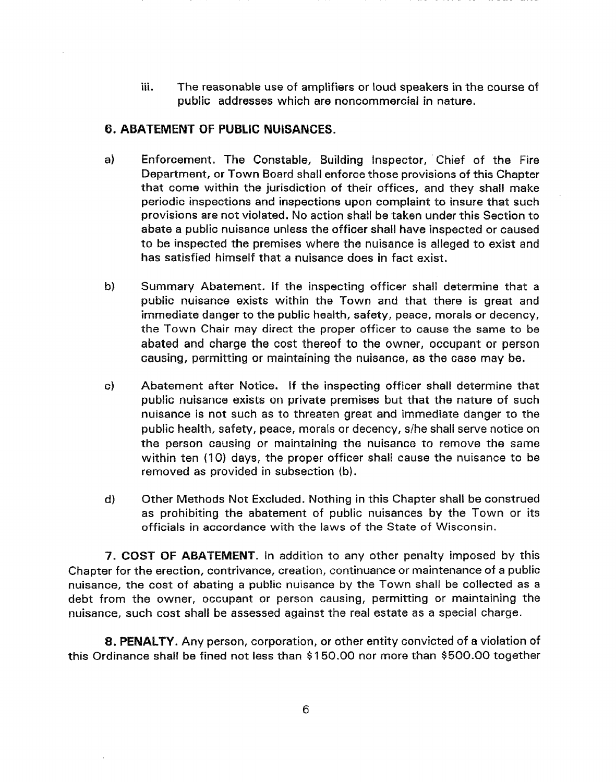iii. The reasonable use of amplifiers or loud speakers in the course of public addresses which are noncommercial in nature.

## 6. ABATEMENT Of PUBLIC NUISANCES.

- a) Enforcement. The Constable, Building Inspector, Chief of the Fire Department, or Town Board shall enforce those provisions of this Chapter that come within the jurisdiction of their offices, and they shall make periodic inspections and inspections upon complaint to insure that such provisions are not violated. No action shall be taken under this Section to abate a public nuisance unless the officer shall have inspected or caused to be inspected the premises where the nuisance is alleged to exist and has satisfied himself that a nuisance does in fact exist.
- b) Summary Abatement. If the inspecting officer shall determine that a public nuisance exists within the Town and that there is great and immediate danger to the public health, safety, peace, morals or decency, the Town Chair may direct the proper officer to cause the same to be abated and charge the cost thereof to the owner, occupant or person causing, permitting or maintaining the nuisance, as the case may be.
- c) Abatement after Notice. If the inspecting officer shall determine that public nuisance exists on private premises but that the nature of such nuisance is not such as to threaten great and immediate danger to the public health, safety, peace, morals or decency, *s/he* shall serve notice on the person causing or maintaining the nuisance to remove the same within ten (10) days, the proper officer shall cause the nuisance to be removed as provided in subsection (b).
- d) Other Methods Not Excluded. Nothing in this Chapter shall be construed as prohibiting the abatement of public nuisances by the Town or its officials in accordance with the laws of the State of Wisconsin.

**7. COST OF ABATEMENT.** In addition to any other penalty imposed by this Chapter for the erection, contrivance, creation, continuance or maintenance of a public nuisance, the cost of abating a public nuisance by the Town shall be collected as a debt from the owner, occupant or person causing, permitting or maintaining the nuisance, such cost shall be assessed against the real estate as a special charge.

8. PENALTV. Any person, corporation, or other entity convicted of a violation of this Ordinance shalf be fined not less than \$150.00 nor more than \$500.00 together